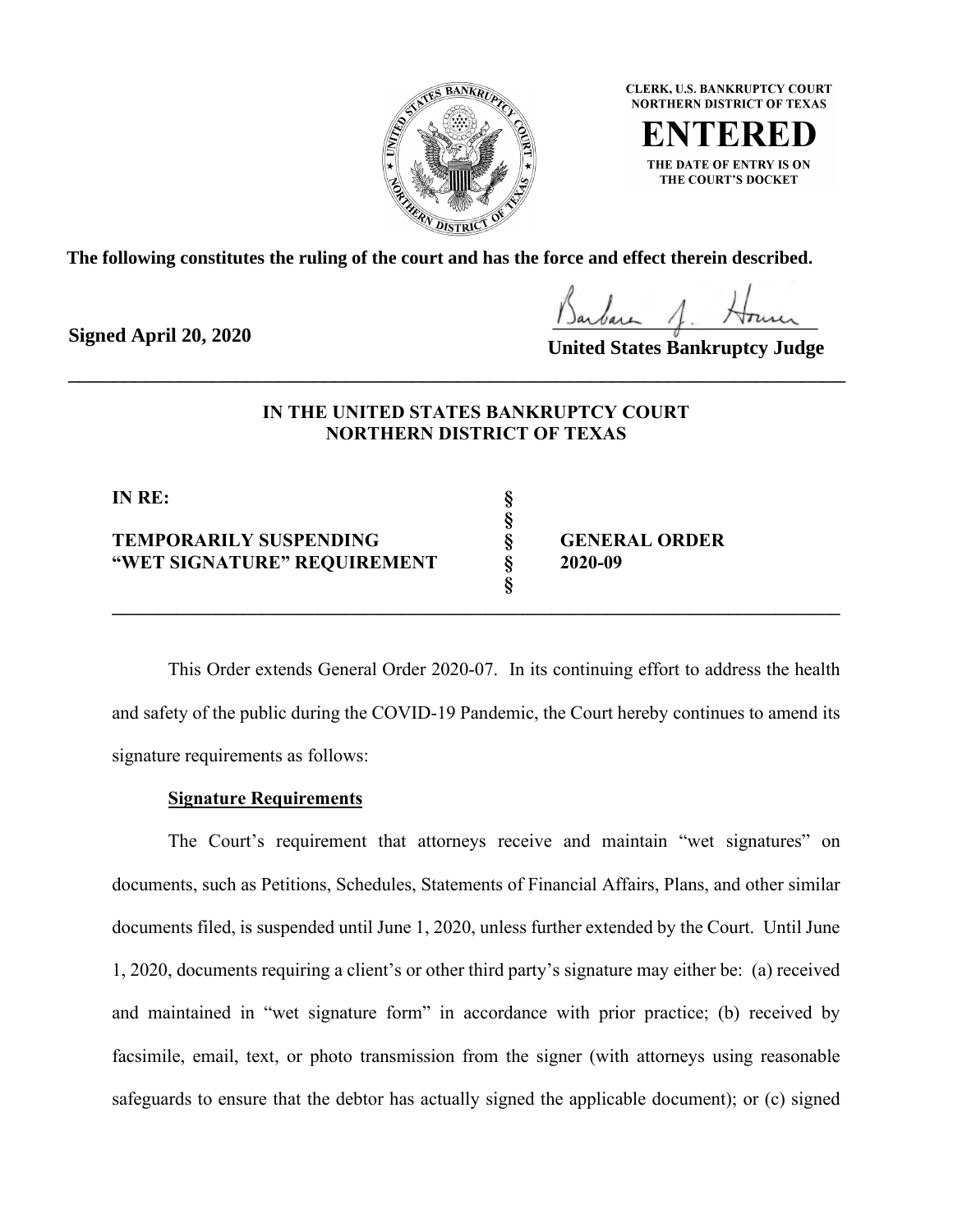

**CLERK, U.S. BANKRUPTCY COURT NORTHERN DISTRICT OF TEXAS** 

THE DATE OF ENTRY IS ON THE COURT'S DOCKET

**The following constitutes the ruling of the court and has the force and effect therein described.**

**Signed April 20, 2020**

**United States Bankruptcy Judge**

# **IN THE UNITED STATES BANKRUPTCY COURT NORTHERN DISTRICT OF TEXAS**

\_\_\_\_\_\_\_\_\_\_\_\_\_\_\_\_\_\_\_\_\_\_\_\_\_\_\_\_\_\_\_\_\_\_\_\_\_\_\_\_\_\_\_\_\_\_\_\_\_\_\_\_\_\_\_\_\_\_\_\_\_\_\_\_\_\_\_\_\_\_

**§**

**§** 

**IN RE: §**

**TEMPORARILY SUSPENDING § GENERAL ORDER "WET SIGNATURE" REQUIREMENT § 2020-09**

This Order extends General Order 2020-07. In its continuing effort to address the health and safety of the public during the COVID-19 Pandemic, the Court hereby continues to amend its signature requirements as follows:

**\_\_\_\_\_\_\_\_\_\_\_\_\_\_\_\_\_\_\_\_\_\_\_\_\_\_\_\_\_\_\_\_\_\_\_\_\_\_\_\_\_\_\_\_\_\_\_\_\_\_\_\_\_\_\_\_\_\_\_\_\_\_\_\_\_\_\_\_\_\_\_\_\_\_\_\_\_\_**

## **Signature Requirements**

The Court's requirement that attorneys receive and maintain "wet signatures" on documents, such as Petitions, Schedules, Statements of Financial Affairs, Plans, and other similar documents filed, is suspended until June 1, 2020, unless further extended by the Court. Until June 1, 2020, documents requiring a client's or other third party's signature may either be: (a) received and maintained in "wet signature form" in accordance with prior practice; (b) received by facsimile, email, text, or photo transmission from the signer (with attorneys using reasonable safeguards to ensure that the debtor has actually signed the applicable document); or (c) signed